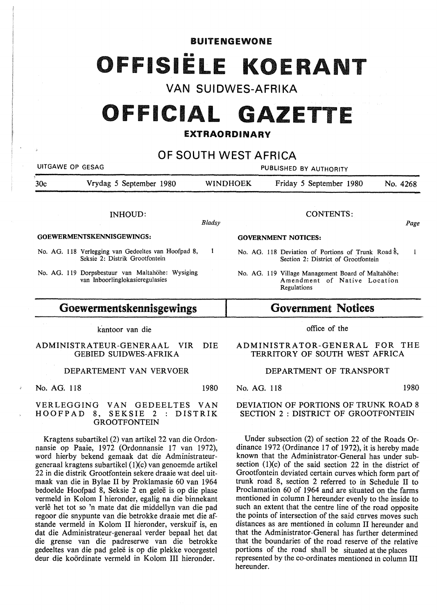**BUITENGEWONE** 

# FFISIËLE KOEI

VAN SUIDWES-AFRIKA

## **OFFICIAL GAZETTE**

### **EXTRAORDINARY**

## OF SOUTH WEST AFRICA

| UITGAWE OP GESAG |                                                                                                                                                                                                                                                                                                                                                                                                          |                                            | PUBLISHED BY AUTHORITY |                                                                                                                                                                                                                                                                                                                                                                                                                   |  |  |              |
|------------------|----------------------------------------------------------------------------------------------------------------------------------------------------------------------------------------------------------------------------------------------------------------------------------------------------------------------------------------------------------------------------------------------------------|--------------------------------------------|------------------------|-------------------------------------------------------------------------------------------------------------------------------------------------------------------------------------------------------------------------------------------------------------------------------------------------------------------------------------------------------------------------------------------------------------------|--|--|--------------|
| 30 <sub>c</sub>  | Vrydag 5 September 1980                                                                                                                                                                                                                                                                                                                                                                                  | <b>WINDHOEK</b><br>Friday 5 September 1980 |                        |                                                                                                                                                                                                                                                                                                                                                                                                                   |  |  | No. 4268     |
|                  | <b>INHOUD:</b>                                                                                                                                                                                                                                                                                                                                                                                           | Bladsy                                     |                        | <b>CONTENTS:</b>                                                                                                                                                                                                                                                                                                                                                                                                  |  |  | Page         |
|                  | GOEWERMENTSKENNISGEWINGS:                                                                                                                                                                                                                                                                                                                                                                                |                                            |                        | <b>GOVERNMENT NOTICES:</b>                                                                                                                                                                                                                                                                                                                                                                                        |  |  |              |
|                  | No. AG. 118 Verlegging van Gedeeltes van Hoofpad 8,<br>Seksie 2: Distrik Grootfontein                                                                                                                                                                                                                                                                                                                    | 1                                          |                        | No. AG. 118 Deviation of Portions of Trunk Road 8,<br>Section 2: District of Grootfontein                                                                                                                                                                                                                                                                                                                         |  |  | $\mathbf{1}$ |
|                  | No. AG. 119 Dorpsbestuur van Maltahöhe: Wysiging<br>van Inboorlinglokasieregulasies                                                                                                                                                                                                                                                                                                                      |                                            |                        | No. AG. 119 Village Management Board of Maltahöhe:<br>Amendment of Native Location<br>Regulations                                                                                                                                                                                                                                                                                                                 |  |  |              |
|                  | Goewermentskennisgewings                                                                                                                                                                                                                                                                                                                                                                                 |                                            |                        | <b>Government Notices</b>                                                                                                                                                                                                                                                                                                                                                                                         |  |  |              |
|                  | kantoor van die                                                                                                                                                                                                                                                                                                                                                                                          |                                            |                        | office of the                                                                                                                                                                                                                                                                                                                                                                                                     |  |  |              |
|                  | ADMINISTRATEUR-GENERAAL VIR<br><b>GEBIED SUIDWES-AFRIKA</b>                                                                                                                                                                                                                                                                                                                                              | <b>DIE</b>                                 |                        | ADMINISTRATOR-GENERAL FOR THE<br>TERRITORY OF SOUTH WEST AFRICA                                                                                                                                                                                                                                                                                                                                                   |  |  |              |
|                  | DEPARTEMENT VAN VERVOER                                                                                                                                                                                                                                                                                                                                                                                  |                                            |                        | DEPARTMENT OF TRANSPORT                                                                                                                                                                                                                                                                                                                                                                                           |  |  |              |
| No. AG. 118      |                                                                                                                                                                                                                                                                                                                                                                                                          | 1980                                       | No. AG. 118            |                                                                                                                                                                                                                                                                                                                                                                                                                   |  |  | 1980         |
| HOOFPAD          | VERLEGGING<br>VAN GEDEELTES<br>8, SEKSIE 2 : DISTRIK<br><b>GROOTFONTEIN</b>                                                                                                                                                                                                                                                                                                                              | <b>VAN</b>                                 |                        | DEVIATION OF PORTIONS OF TRUNK ROAD 8<br><b>SECTION 2 : DISTRICT OF GROOTFONTEIN</b>                                                                                                                                                                                                                                                                                                                              |  |  |              |
|                  | Kragtens subartikel (2) van artikel 22 van die Ordon-<br>nansie op Paaie, 1972 (Ordonnansie 17 van 1972),<br>word hierby bekend gemaak dat die Administrateur-<br>generaal kragtens subartikel (1)(c) van genoemde artikel<br>22 in die distrik Grootfontein sekere draaie wat deel uit-<br>maak van die in Bylae II by Proklamasie 60 van 1964<br>hedoelde Hoofnad 8, Seksie 2 en seleë is on die niese |                                            |                        | Under subsection $(2)$ of section 22 of the Roads Or-<br>dinance 1972 (Ordinance 17 of 1972), it is hereby made<br>known that the Administrator-General has under sub-<br>section $(1)(c)$ of the said section 22 in the district of<br>Grootfontein deviated certain curves which form part of<br>trunk road 8, section 2 referred to in Schedule II to<br>Proclamation 60 of 1964 and are situated on the forms |  |  |              |

bedoelde Hoofpad 8, Seksie 2 en gelee is op die plase vermeld in Kolom I hieronder, egalig na die binnekant verlê het tot so 'n mate dat die middellyn van die pad regoor die snypunte van die betrokke draaie met die afstande vermeld in Kolom II hieronder, verskuif is, en dat die Administrateur-generaal verder bepaal het dat die grense van die padreserwe van die betrokke gedeeltes van die pad gelee is op die plekke voorgestel deur die koordinate vermeld in Kolom III hieronder.

Proclamation 60 of 1964 and are situated on the farms mentioned in column I hereunder evenly to the inside to such an extent that the centre line of the road opposite the points of intersection of the said curves moves such distances as are mentioned in column II hereunder and that the Administrator-General has further determined that the boundaries of the road reserve of the relative portions of the road shall be situated at the places represented by the co-ordinates mentioned in column III hereunder.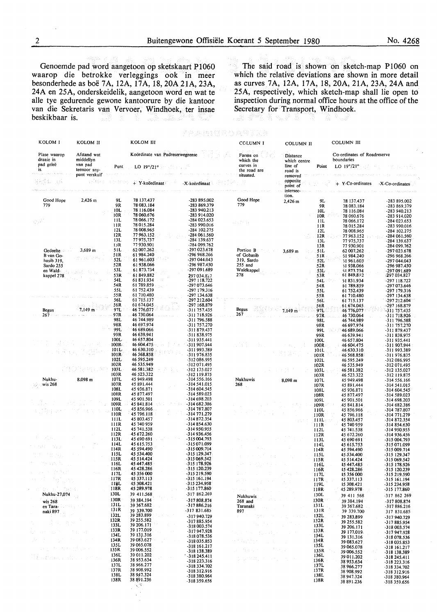van die Sekretaris van Vervoer, Windhoek, ter insae Secretary for Transport, Windhoek, ter insae **beskikbaar** is. R.

Genoemde pad word aangetoon op sketskaart P1060 The said road is shown on sketch-map P1060 on aarop die betrokke verleggings ook in meer which the relative deviations are shown in more detail **waarop die betrokke verleggings ook in meer which the relative deviations are shown in more detail besonderhede as boe 7 A, 12A, 17 A, 18, 20A 21 A, 23A, as curves 7A, 12A, 17A, 18, 20A, 21A, 23A, 24A and**  24A en 25A, onderskeidelik, aangetoon word en wat te <sup>25A</sup>, respectively, which sketch-map shall lie open to alle tye gedurende gewone kantoorure by die kantoor inspection during normal office hours at the office of the inspection during normal office hours at the office of the Secretary for Transport, Windhoek. QX 75,14

| 회전화에 사라가 잘 보고 있다.                             |                                                     |              |                                                     |                                |                                                      |                                                         |                                                                         |
|-----------------------------------------------|-----------------------------------------------------|--------------|-----------------------------------------------------|--------------------------------|------------------------------------------------------|---------------------------------------------------------|-------------------------------------------------------------------------|
| KOLOM I                                       | KOLOM II                                            |              | KOLOM III                                           |                                | column i                                             | <b>COLUMN II</b>                                        | COLUMN III                                                              |
| Plase waarop<br>draaie in<br>pad geleë<br>15. | Afstand wat<br>middellyn<br>van pad<br>teenoor sny- | Punt         | Koördinate van Padreserwegrense<br>$LO$ 19 $9/21$ ° |                                | Farms on<br>which the<br>curves in<br>the road are   | Distance<br>which centre<br>line of<br>Point<br>road is | Co-ordinates of Roadreserve<br>boundaries<br>LO $19^{\circ}/21^{\circ}$ |
|                                               | punt verskuif                                       |              |                                                     |                                | situated.                                            | removed<br>opposite                                     |                                                                         |
| 滑門作品<br>30 t                                  | t dike                                              |              | + Y-koördinaat                                      | -X-koördinaat                  |                                                      | point of<br>intersec-                                   | + Y-Co-ordinates<br>-X-Co-ordinates                                     |
| Good Hope                                     | 2.426 m                                             | 9L           | 78 137.437                                          | -283 895.002                   | Good Hope                                            | tion.                                                   |                                                                         |
| 779                                           |                                                     | 9R           | 78 083.184                                          | -283 869.379                   | 779                                                  | 9L<br>2,426 m<br>9R                                     | 78 137.437<br>-283 895.002<br>78 083.184<br>-283 869.379                |
|                                               |                                                     | 10L<br>10R   | 78 116 084<br>78 060.676                            | -283 940.213<br>-283 914.020   |                                                      | 10L<br>10R                                              | 78 116.084<br>-283 940.213<br>78 060.676<br>-283 914.020                |
| 52.V                                          |                                                     | 11L<br>11R   | 78 066.172<br>78 015.284                            | -284 023.653<br>-283 990.016   | $\mathbb{P}^1 \oplus \mathbb{P}^1 \oplus \mathbb{P}$ | 11L                                                     | 78 066.172<br>-284 023.653                                              |
|                                               |                                                     | 12L          | 78 008.965                                          | -284 102.275                   |                                                      | 11R<br>12L                                              | 78 015.284<br>-283 990.016<br>78 008.965<br>-284 102.275                |
|                                               |                                                     | 12R<br>13L   | 77963.152<br>77975,737                              | -284 061 560<br>-284 139.637   |                                                      | 12R                                                     | 77.963.152<br>$-284061.560$<br>-284 139.637                             |
|                                               |                                                     | 13R          | 77930.901                                           | -284 099.762                   |                                                      | 13L<br>13R                                              | 77 975,737<br>-284 099.762<br>77 930.901                                |
| Gedeelte<br>B van Go-                         | $3,689$ m                                           | 51L<br>51R   | 62 007.262<br>61 984.240                            | -297 023.678<br>-296 968.266   | Portion B<br>of Gobasib                              | 51L<br>3,689 m<br>51R                                   | 62 007.262<br>-297 023.678<br>51 984.240<br>-296 968.266                |
| basib 319,                                    | and and the                                         | 52L          | 61 961.603                                          | -297 044 043                   | 319, Sardo                                           | 52L                                                     | 51 961.603<br>-297 044.043                                              |
| Sardo 255<br>en Wald-                         |                                                     | 52R<br>53L   | 61938.066<br>61873.734                              | -296 987.450<br>-297.091.689   | 255 and<br>Waldkappel                                | 52R<br>53L                                              | 51938.066<br>-296 987.450<br>51.873.734<br>-297 091.689                 |
| kappel 278                                    |                                                     | 53R<br>54L   | 61849.882<br>61831.934                              | 297 034.827                    | 278                                                  | 53R                                                     | 61849.882<br>-297 034.827                                               |
|                                               |                                                     | 54R          | 61 789.859                                          | $-297118.722$<br>-297 073.646  |                                                      | 54L<br>54R                                              | 51831.934<br>-297 118.722<br>51 789.859<br>-297 073.646                 |
|                                               |                                                     | 55L<br>55R   | 61 752.439<br>61 710.480                            | -297 179.316<br>-297 134.638   |                                                      | 55L                                                     | 61752.439<br>-297 179.316                                               |
|                                               |                                                     | 56L          | 61 715.137                                          | -297 212.604                   |                                                      | 55R<br>56L                                              | 61 710.480<br>-297 134.638<br>61 715.137<br>-297 212.604                |
| Begus                                         | 7,149 m                                             | 56R<br>97L   | 61 674.045<br>46 776,077                            | -297 168.879<br>-311 757.435   | Begus                                                | 56R<br>97L<br>$7.149 \text{ m}$                         | 61 674 045<br>-297 168.879<br>46 776,077<br>-311 757.435                |
| 267                                           |                                                     | 97R          | 46 730.064                                          | $-311.718.926$                 | 267                                                  | 97R                                                     | 46.730.064<br>-311 718.926                                              |
|                                               |                                                     | 98L<br>98R   | 46 744.989<br>46 697.974                            | -311 796.588<br>-311 757.270   |                                                      | 98L<br>98R                                              | 46 744.989<br>-311 796.588<br>46 697.974<br>-311 757.270                |
|                                               |                                                     | 99L<br>99R   | 46 689 066<br>46 639.941                            | -311 879.437<br>-311 838.975   |                                                      | 99L                                                     | 46 689.066<br>-311879.437<br>94 Jul                                     |
|                                               |                                                     | 100L         | 46 657.804                                          | -311 935.441                   |                                                      | 99R<br>100L                                             | -311 838.975<br>46 639.941<br>46 657.804<br>-311 935.441                |
|                                               |                                                     | 100R<br>101L | 46 604 475<br>46 630.310                            | -311.907.944<br>-311 993.389   |                                                      | 100R                                                    | 46 604.475<br>-311 907.944<br>46 630.310                                |
|                                               |                                                     | 101R-        | 46 568.858                                          | -311 976.835                   |                                                      | 101L<br>101R                                            | -311 993.389<br>46 568.858<br>-311976.835                               |
|                                               |                                                     | 102L<br>102R | 46 595.249<br>46 535.949                            | -312 086.995<br>-312071.495    |                                                      | 102L<br>102R                                            | -312 086 995<br>46 595.249<br>46 535.949<br>-312 071.495                |
|                                               |                                                     | 103L         | 46 581.382                                          | -312 135.027                   |                                                      | 103L                                                    | 46 581 382<br>-312 135.027                                              |
| Nukhu-                                        | 8,098 m                                             | 103R<br>107L | 46 523 322<br>45 949.498                            | -312 119.875<br>-314 556.166   | Nukhuwis                                             | 103R<br>107L<br>8,098 m                                 | 46 523.322<br>-312 119.875<br>45 949.498<br>-314 556.166                |
| wis 268                                       |                                                     | 107R<br>108L | 45 891.444<br>45 936.871                            | -314 541.015<br>-314 604.545   | 268                                                  | 107R                                                    | 45 891.444<br>-314 541.015                                              |
|                                               |                                                     | 108R         | 45 877.497                                          | -314 589.023                   |                                                      | 108L<br>108R                                            | 45 936.871<br>-314 604.545<br>45 877.497<br>-314 589.023                |
|                                               |                                                     | 109L<br>109R | 45 901.501<br>45 841 814                            | -314 698.203<br>-314 682.386   |                                                      | 109L<br>109R                                            | 45 901.501<br>-314 698.203<br>-314 682.386<br>45841814                  |
|                                               |                                                     | 110L         | 45 856.966                                          | -314 787.807                   |                                                      | 110L                                                    | 45 856.966<br>-314 787.807                                              |
|                                               |                                                     | 110R<br>111L | 45 796.118<br>45 803.457                            | -314 771.279<br>-314 872.354   |                                                      | 110R<br>.111L                                           | 45 796.118<br>$-314771.279$<br>45 803.457<br>-314 872.354               |
|                                               |                                                     | 111R         | 45 740 959                                          | $-314854.630$                  |                                                      | 111R                                                    | 45 740 959<br>-314 854.630                                              |
|                                               |                                                     | 112L<br>112R | 45 741.538<br>45 672.260                            | -314 950.955<br>-314 936.456   |                                                      | 112L<br>112R                                            | 45 741.538<br>-314 950.955<br>45 672.260<br>-314 936.456                |
|                                               |                                                     | 113L<br>114L | 45 690 691<br>45 615.753                            | -315 004.793<br>-315 071.099   |                                                      | 113L<br>114L                                            | 45 690 691<br>-315 004.793<br>45 615.753<br>-315 071.099                |
|                                               |                                                     | 114R         | 45 594.490                                          | -315 009.714                   |                                                      | 114R                                                    | 45 594.490<br>-315 009.714                                              |
| unija,<br>$\lambda \sim 10$                   |                                                     | 115L<br>115R | 45 534.400<br>45 514.424                            | -315 129.347<br>-315 069.542   | $\alpha \in \mathcal{O}(\mathcal{O})$ , and          | 115L<br>115R                                            | 45 534.400<br>-315 129.347<br>45 514.424<br>-315 069.542                |
|                                               |                                                     | 116L<br>116R | 45 447 485<br>45 428.286                            | -315 178.926<br>-315 120.239   | 医肠囊肿性炎                                               | 116L                                                    | 45 447.485<br>-315 178.926                                              |
| 73.De F                                       |                                                     | 117L         | 45 356 000                                          | -315 219.590                   |                                                      | 116R<br>films<br>117L                                   | 45 428.286<br>-315 120.239<br>45 356 000<br>-315 219.590                |
|                                               |                                                     | 117R<br>118L | 45 337.113<br>45 308 421                            | -315 161.194<br>-315 234.958   |                                                      | 117R                                                    | 45 337.113<br>-315 161.194<br>15 308.421<br>-315 234.958                |
| andy all ma                                   |                                                     | 118R         | 45 289.978                                          | -315 177.860                   | 큰 학교 시간                                              | 119L<br>118R                                            | 45 289.978<br>-315 177.860                                              |
| Nukhu-27,074                                  |                                                     | 130L<br>130R | 39 411.568                                          | -317 862.269                   | Nukhuwis                                             | 130L                                                    | 39 411 568<br>-317 862 269                                              |
| wis 268<br>en Tara-                           |                                                     | 131L         | 39 384.194<br>39 367.682                            | $-317808.874$<br>$-317886.216$ | 268 and<br>Taranaki                                  | 130R<br>131L                                            | 39 384.194<br>-317808.874<br>39 367.682<br>-317886.216                  |
| naki 897                                      |                                                     | 131R<br>132L | 39 339.700<br>39 283.899                            | -317 831.685                   | 897                                                  | 131R                                                    | 39 339,700<br>317 831.685                                               |
| 高度 光光                                         |                                                     | 132R         | 39 255.582                                          | -317 940.729<br>-317885.954    |                                                      | 132L<br><b>Service Street</b><br>132R                   | 39 283.899<br>-317 940.729<br>39 255.582<br>-317885.954                 |
|                                               |                                                     | 133L<br>133R | 39 206.171<br>39 177.019                            | -318 003.574<br>-317947.928    | <b>August Community</b>                              | 133L<br>133R                                            | 39 206.171<br>-318 003.574                                              |
| and the control of the                        |                                                     | 134L         | 39 131.316                                          | -318 078.536                   | ter and has a future from                            | 134L                                                    | 39 177.019.<br>$-317.947.928$<br>39 131.316<br>-318 078.536             |
| しゅかいせん テレ                                     |                                                     | 134R<br>135L | 39 083.627<br>39 065.078                            | -318 035.853<br>-318 161.217   | みにいい<br>na Pa                                        | 134R<br>135L                                            | 39 083.627<br>-318 035.853                                              |
| 나는 친구에 벌써 보니                                  |                                                     | 135R         | 39 006.552                                          | -318 138.389                   | di Kabupatén Tera                                    | 135R                                                    | 39 065.078<br>-318 161.217<br>39 006.552<br>-318 138.389                |
| di creacioni contro                           |                                                     | 136L<br>136R | 39 011.202<br>38 953.634                            | $-318245.411$<br>-318 223.316  | なんれんない おうそん うんじゃ                                     | 136L<br>136R                                            | 39 011.202<br>-318 245.411<br>38 953.634<br>-318 223.316                |
|                                               |                                                     | 137L<br>137R | 38 966.277<br>38 908.992                            | -318 334.702                   |                                                      | 137L                                                    | 38 966.277<br>-318 334.702                                              |
|                                               |                                                     | 138L         | 38 947.324                                          | -318 312.916<br>-318 380.964   |                                                      | 137R<br>138L                                            | 38 908.992<br>-318 312.916<br>38 947.324<br>-318 380.964                |
|                                               |                                                     | 138R         | 38 891.236                                          | -318 359.656                   |                                                      | 138R                                                    | 38 891.236<br>-318 359.656                                              |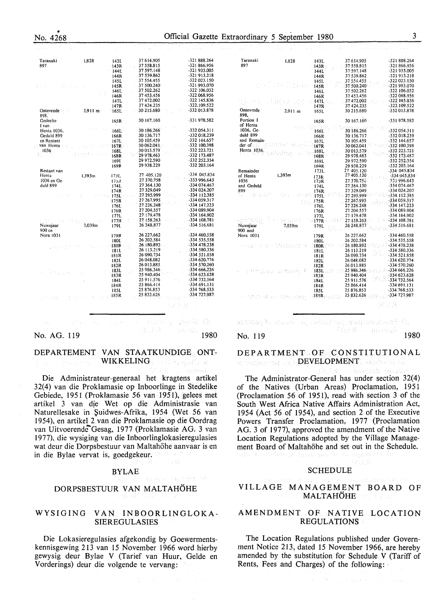Taranaki

897

Ont 898

Nuwejaar

Nora 1031

diam'r.

900 en

1,828

|                                                                                                                                                                                                                                       |                     | .                           |                      |                |
|---------------------------------------------------------------------------------------------------------------------------------------------------------------------------------------------------------------------------------------|---------------------|-----------------------------|----------------------|----------------|
|                                                                                                                                                                                                                                       |                     | 144R                        | 37 539.862           | -321 913.218   |
|                                                                                                                                                                                                                                       |                     | 145L                        | 37 554.455           | -322 023.150   |
| 아버지는 아이가 있으셨다.                                                                                                                                                                                                                        |                     | 145R                        | 37 500.240           | -321 993.070   |
|                                                                                                                                                                                                                                       |                     | 146L                        | 37 502.262           | $-322$ 106.032 |
|                                                                                                                                                                                                                                       |                     | 146R                        | 37 453.456           | -322 068.956   |
|                                                                                                                                                                                                                                       |                     | 147L                        | 37472.002            | -322 145.836   |
|                                                                                                                                                                                                                                       |                     | 147R                        | 37 424.235           | $-322.109.522$ |
| Ontevrede and the Contract of the Contract of the Contract of the Contract of the Contract of the Contract of the Contract of the Contract of the Contract of the Contract of the Contract of the Contract of the Contract of<br>898. | $2.911 \text{ m}$   | 165L                        | 30 215.680           | -332 013.878   |
| Gedeelte<br>I van                                                                                                                                                                                                                     |                     | 165R                        | 30 167.160           | -331 978.582   |
| Henta 1036,                                                                                                                                                                                                                           |                     | 166L                        | 30 186.266           | -332 054.311   |
| Geduld 899                                                                                                                                                                                                                            |                     | 166R                        | 30 136.717           | -332 018.239   |
| en Restant                                                                                                                                                                                                                            |                     | 167L                        | 30 105:459           | -332 144.657   |
| van Henta -                                                                                                                                                                                                                           | in a serie in exist | 167R                        | 30 062.041<br>Katula | -332 100.398   |
| 1036                                                                                                                                                                                                                                  |                     | 168L                        | 30 013.579           | $-332223.721$  |
|                                                                                                                                                                                                                                       | Sympath Chap        | 168R                        | 29 978.463           | -332 173.487   |
|                                                                                                                                                                                                                                       |                     | 1691                        | 29 972.590           | -332 252.354   |
|                                                                                                                                                                                                                                       |                     | 169R                        | 29 938.229           | -332 203.164   |
| Restant van                                                                                                                                                                                                                           |                     |                             |                      | $-334$ 045.834 |
| Henta                                                                                                                                                                                                                                 | 1.393m              | 173L                        | 27 405.120           |                |
| 1036 en Ge-                                                                                                                                                                                                                           |                     | 1753                        | 27 370.758           | $-333996.643$  |
| duld 899                                                                                                                                                                                                                              |                     | 174L                        | 27 364.130           | -334 074.467   |
|                                                                                                                                                                                                                                       |                     | 174R                        | 27 329.049           | -334 024.207   |
|                                                                                                                                                                                                                                       | k tipi              | $\sim$ 300 $\pm$ 175L $\pm$ | 27 295 999<br>EST.   | $-334112.385$  |
|                                                                                                                                                                                                                                       |                     | 175R                        | 27 267.995           | -334 059.317   |
|                                                                                                                                                                                                                                       |                     | 176L-                       | 27 226.248           | $-334$ 147.223 |
|                                                                                                                                                                                                                                       |                     | 176R                        | 27 204.557           | -334 089.904   |

 $1771$ 

 $177R$ 

1791

1798

1801

180R

181I

181R

7.039m

143L

143R

37 614.905

37.558.815 37 597 148

27 179 478  $27158.263$ 

26 248 877

26 227.662 26 202.584

26 180.892

26 113.219

Service and the Person

Rather

a signe alla condo

 $-321888.264$ <br> $-321866.956$ 

 $-321035005$ 

 $-334$  164.902<br> $-334$  108.781

-334 516.681

 $-334460.558$ 

-334 535.558<br>-334 478.238

334 580 336

 $-334521.858$ 

n Pol

1980

|                                                                     | 182L  | 26 048 082                               | $-334620.774$                                        |
|---------------------------------------------------------------------|-------|------------------------------------------|------------------------------------------------------|
|                                                                     | 182R  | 26 013.885                               | -334 570.260                                         |
|                                                                     |       |                                          |                                                      |
|                                                                     | a shi | $-2.50,346$<br>334 666.226<br>25.940.404 |                                                      |
|                                                                     | 184I. | 25 911.576<br><b>Contractor</b>          | -334 732.564                                         |
|                                                                     | 184R  | 25 866.414                               | $-334691.131$                                        |
|                                                                     | 185L  | 25 876,853                               | -334 768.533                                         |
|                                                                     |       | 25 832.626 334 727.987                   |                                                      |
| is the set of the second conditions of $^{185\mathrm{R}_{\odot}}$ . |       |                                          |                                                      |
|                                                                     |       |                                          | - 1917년 1월 19일<br>대한민국의 대한민국의 대한민국의 대한민국의 대한민국의 1918 |
|                                                                     |       |                                          |                                                      |

No. AG. 119

#### DEPARTEMENT VAN STAATKUNDIGE ONT-WIKKELING: Self wyng all and

Die Administrateur-generaal het kragtens artikel 32(4) van die Proklamasie op Inboorlinge in Stedelike Gebiede, 1951 (Proklamasie 56 van 1951), gelees met artikel 3 van die Wet op die Administrasie van Naturellesake in Suidwes-Afrika, 1954 (Wet 56 van 1954), en artikel 2 van die Proklamasie op die Oordrag van Uitvoerende Gesag, 1977 (Proklamasie AG. 3 van 1977), die wysiging van die Inboorlinglokasieregulasies wat deur die Dorpsbestuur van Maltahöhe aanvaar is en in die Bylae vervat is, goedgekeur.

#### **BYLAE**

## DORPSBESTUUR VAN MALTAHÖHE

#### WYSIGING VAN INBOORLINGLOKA-**SIEREGULASIES**

Die Lokasieregulasies afgekondig by Goewermentskennisgewing 213 van 15 November 1966 word hierby gewysig deur Bylae V (Tarief van Huur, Gelde en Vorderings) deur die volgende te vervang:

| Taranaki          | 1,828        | 143L        | 37614.905    | -321888.264   |
|-------------------|--------------|-------------|--------------|---------------|
| 897               |              |             | 37558.815    | -321 866 956  |
|                   |              | $-143R -$   | 37 597.148   | -321 935.005  |
|                   |              | 144L        |              | -321913.218   |
|                   |              | 144R        | 37 539.862   |               |
|                   | Post Option  | 145L        | 37 554.455   | -322 023.150  |
|                   |              | 145R        | 37 500.240   | -321 993.070  |
|                   |              | 146L        | 37 502.262   | -322 106.032  |
|                   |              | 146R        | 37 453.456   | -322 068.956  |
|                   | -337 S.Y     | 447L        | 37472.002    | -322 145 836  |
|                   |              | 147R        | 37 424.235   | -322.109.522  |
| Ontevrede         | $2,911 \; m$ | 165L        | 30 215.680   | -332 013.878  |
| 898.              |              |             |              |               |
| Portion I         |              | 165R        | 30 167.160 - | -331 978.582  |
| of Henta          |              |             |              |               |
| 1036, Ge-         |              | 166L        | 30 186.266   | -332 054 311  |
| duld 899          |              | 166R        | 30 136.717   | -332 018.239  |
| and Remain-       |              | 167L        | 30 105.459   | -332 144.657  |
| der of            |              | 167R        | 30 062 041   | -332 100.398  |
| Henta 1036.       |              | 168L        | 30013.579    | -332 223.721  |
|                   |              | 168R        | 29 978.463   | -332 173.487  |
|                   |              | 169L        | 29 972.590   | -332 252 354  |
|                   |              | 169R        | 29 938.229   | -332 203 164  |
| Remainder         |              | 173L        | 27 405.120   | -334 045.834  |
| of Henta          | 1.393m       | 173R        | 27 405 120   | -334 045 834  |
| 1036              |              | 173R        | 27370.756    | 333 996.643   |
| and Geduld        |              | 174L        | 27 364,130   | -334 074 467  |
| 899               |              | 174R        | 27 329.049   | -334 024.207  |
| an Eldafr         | NG 6         | 175L        | 27 295.999   | -334 112 385  |
|                   |              | 175R        | 27 267 995   | -334 059.317  |
|                   |              | 176L        | 27 226.248   | -334 147.223  |
|                   |              | 176R        | 27 204.557   | -334 089.904  |
|                   |              | 177L        | 27 179.478   | -334 164.902  |
|                   | iste gand    | $-177R$     | 27 158 263   | -334 108.781  |
| Nuweiaar          | 7.039m       | 179L        | 26 248.877   | $-334516.681$ |
| 900 and           |              |             |              |               |
| Nora 1031         |              | 179R        | 26 227.662   | -334 460.558  |
|                   |              | 180L        | 26 202.584   | -334 535.558  |
| 网络法国 化内容仪 微微光谱的分  |              | 180R        | 26 180 892   | $-334478.238$ |
|                   |              | 181L        | 26 113.219   | -334 580.336  |
|                   |              | 181R        | 26 090.734   | 334521.858    |
|                   |              | 182L        | 26 048 082   | -334 620.774  |
|                   |              | 182R        | 26 013.885   | -334 570.260  |
| nting, as Camaro  |              | $183L - 17$ | 25 986.346   | -334 666.226  |
|                   |              | 183R        | 25 940.404   | -334 623.628  |
|                   |              | 184L        | 25 911.576   | -334 732.564  |
|                   |              | 184R        | 25 866.414   | -334 691.131  |
|                   |              | 185L        | 25 876.853   | -334 768.533  |
| 1 ARTHUR GEO 1529 |              | $185R -$    | 25 832.626   | -334 727.987  |
|                   |              |             |              |               |
|                   |              |             |              | OK ZD         |
|                   |              |             |              |               |

Shachi wanisee, par kumet, pa- anawici of godoclic -411 微深度 - mpmai 1980

No. 119

420 - Poster Stephen

#### DEPARTMENT OF CONSTITUTIONAL 10 United that I was **DEVELOPMENT**: Analysis Can

- Alvarab Viesa

(45.5.2)

The Administrator-General has under section 32(4) of the Natives (Urban Areas) Proclamation, 1951 (Proclamation 56 of 1951), read with section 3 of the South West Africa Native Affairs Administration Act, 1954 (Act 56 of 1954), and section 2 of the Executive Powers Transfer Proclamation, 1977 (Proclamation AG. 3 of 1977), approved the amendment of the Native Location Regulations adopted by the Village Management Board of Maltahöhe and set out in the Schedule. Aren bet als schedule

#### **SCHEDULE**

#### VILLAGE MANAGEMENT BOARD OF MALTAHÖHE

#### AMENDMENT OF NATIVE LOCATION **REGULATIONS**

The Location Regulations published under Government Notice 213, dated 15 November 1966, are hereby amended by the substitution for Schedule V (Tariff of Rents, Fees and Charges) of the following:

 $\mathcal{M} = \mathcal{M}_{\mathcal{M}} \times \mathcal{M}_{\mathcal{M}} \times \mathcal{M}_{\mathcal{M}} \times \mathcal{M}_{\mathcal{M}}$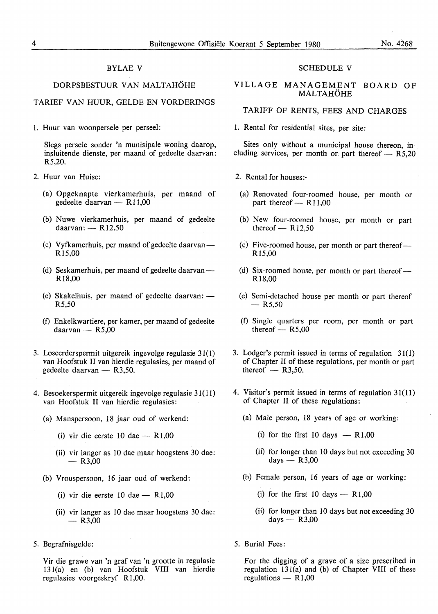#### BYLAE V

#### DORPSBESTUUR VAN MALTAHÖHE

#### TARIEF VAN HUUR, GELDE EN VORDERINGS

I. Huur van woonpersele per perseel:

Slegs persele sonder 'n munisipale woning daarop, insluitende dienste, per maand of gedeelte daarvan: R5,20.

- 2. Huur van Huise:
	- (a) Opgeknapte vierkamerhuis, per maand of gedeelte daarvan  $-$  R11,00
	- (b) Nuwe vierkamerhuis, per maand of gedeelte daarvan:  $-$  R12,50
	- (c) Vyfkamerhuis, per maand of gedeelte daarvan -Rl5,00
	- (d) Seskamerhuis, per maand of gedeelte daarvan-R 18,00
	- (e) Skakelhuis, per maand of gedeelte daarvan:  $-$ R5,50
	- (f) Enkelkwartiere, per kamer, per maand of gedeelte  $d$ aarvan - R5,00
- 3. Loseerderspermit uitgereik ingevolge regulasie 31(1) van Hoofstuk II van hierdie regulasies, per maand of gedeelte daarvan - R3,50.
- 4. Besoekerspermit uitgereik ingevolge regulasie 31(11) van Hoofstuk II van hierdie regulasies:
	- (a) Manspersoon, 18 jaar oud of werkend:
		- (i) vir die eerste 10 dae  $-$  R1,00
		- (ii) vir !anger as 10 dae maar hoogstens 30 dae:  $-$  R3.00
	- (b) Vrouspersoon, 16 jaar oud of werkend:
		- (i) vir die eerste 10 dae  $-$  R1,00
		- (ii) vir !anger as 10 dae maar hoogstens 30 dae:  $-$  R3,00
- 5. Begrafnisgelde:

Vir die grawe van 'n graf van 'n grootte in regulasie 13 I(a) en (b) van Hoofstuk VIII van hierdie regulasies voorgeskryf R 1,00.

#### SCHEDULE V

#### VILLAGE MANAGEMENT BOARD OF **MALTAHÖHE**

#### TARIFF OF RENTS, FEES AND CHARGES

1. Rental for residential sites, per site:

Sites only without a municipal house thereon, including services, per month or part thereof  $-$  R5.20

- 2. Rental for houses:-
	- (a) Renovated four-roomed house, per month or part thereof  $-$  R11,00
	- (b) New four-roomed house, per month or part thereof  $-$  R12,50
	- (c) Five-roomed house, per month or part thereof-**R** 15,00
	- (d) Six-roomed house, per month or part thereof  $-$ Rl8,00
- (e) Semi-detached house per month or part thereof  $-$  R5.50
- (f) Single quarters per room, per month or part thereof  $-$  R5,00
- 3. Lodger's permit issued in terms of regulation 31(1) of Chapter II of these regulations, per month or part thereof  $-$  R3,50.
- 4. Visitor's permit issued in terms of regulation 31(11) of Chapter II of these regulations:
	- (a) Male person, 18 years of age or working:
		- (i) for the first 10 days  $-$  R1,00
		- (ii) for longer than 10 days but not exceeding 30  $davs - R3.00$
	- (b) Female person, 16 years of age or working:
		- (i) for the first 10 days  $-$  R1,00
		- (ii) for longer than 10 days but not exceeding 30 days  $-$  R3,00
- 5. Burial Fees:

For the digging of a grave of a size prescribed in regulation 13 l(a) and (b) of Chapter VIII of these regulations  $-$  R1,00